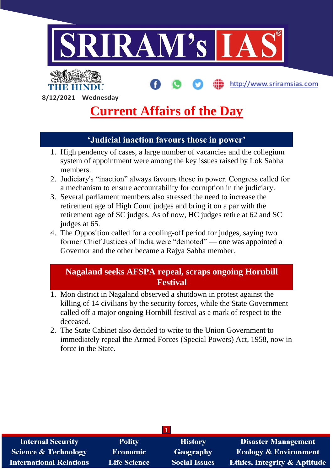

**8/12/2021 Wednesday**

THE HINDI

# **Current Affairs of the Day**

# **'Judicial inaction favours those in power'**

- 1. High pendency of cases, a large number of vacancies and the collegium system of appointment were among the key issues raised by Lok Sabha members.
- 2. Judiciary's "inaction" always favours those in power. Congress called for a mechanism to ensure accountability for corruption in the judiciary.
- 3. Several parliament members also stressed the need to increase the retirement age of High Court judges and bring it on a par with the retirement age of SC judges. As of now, HC judges retire at 62 and SC judges at 65.
- 4. The Opposition called for a cooling-off period for judges, saying two former Chief Justices of India were "demoted" — one was appointed a Governor and the other became a Rajya Sabha member.

### **Nagaland seeks AFSPA repeal, scraps ongoing Hornbill Festival**

- 1. Mon district in Nagaland observed a shutdown in protest against the killing of 14 civilians by the security forces, while the State Government called off a major ongoing Hornbill festival as a mark of respect to the deceased.
- 2. The State Cabinet also decided to write to the Union Government to immediately repeal the Armed Forces (Special Powers) Act, 1958, now in force in the State.

| <b>Internal Security</b>        | <b>Polity</b>       | <b>History</b>       | <b>Disaster Management</b>              |
|---------------------------------|---------------------|----------------------|-----------------------------------------|
| <b>Science &amp; Technology</b> | <b>Economic</b>     | Geography            | <b>Ecology &amp; Environment</b>        |
| <b>International Relations</b>  | <b>Life Science</b> | <b>Social Issues</b> | <b>Ethics, Integrity &amp; Aptitude</b> |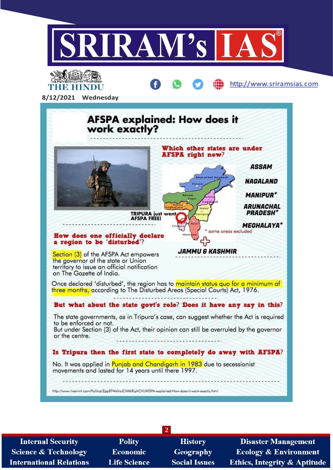



**Internal Security Science & Technology International Relations** 

**Polity Economic Life Science** 

**History** Geography **Social Issues** 

**2**

**Disaster Management Ecology & Environment Ethics, Integrity & Aptitude**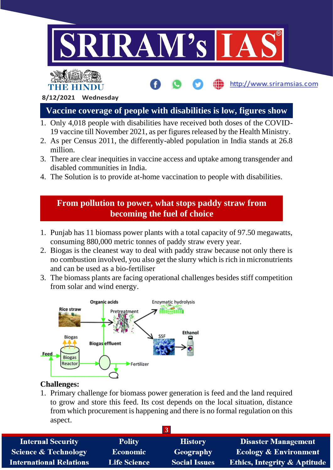

- 1. Only 4,018 people with disabilities have received both doses of the COVID-19 vaccine till November 2021, as per figures released by the Health Ministry.
- 2. As per Census 2011, the differently-abled population in India stands at 26.8 million.
- 3. There are clear inequities in vaccine access and uptake among transgender and disabled communities in India.
- 4. The Solution is to provide at-home vaccination to people with disabilities.

## **From pollution to power, what stops paddy straw from becoming the fuel of choice**

- 1. Punjab has 11 biomass power plants with a total capacity of 97.50 megawatts, consuming 880,000 metric tonnes of paddy straw every year.
- 2. Biogas is the cleanest way to deal with paddy straw because not only there is no combustion involved, you also get the slurry which is rich in micronutrients and can be used as a bio-fertiliser
- 3. The biomass plants are facing operational challenges besides stiff competition from solar and wind energy.



#### **Challenges:**

1. Primary challenge for biomass power generation is feed and the land required to grow and store this feed. Its cost depends on the local situation, distance from which procurement is happening and there is no formal regulation on this aspect.

| <b>Internal Security</b>        | <b>Polity</b>       | <b>History</b>       | <b>Disaster Management</b>              |
|---------------------------------|---------------------|----------------------|-----------------------------------------|
| <b>Science &amp; Technology</b> | <b>Economic</b>     | Geography            | <b>Ecology &amp; Environment</b>        |
| <b>International Relations</b>  | <b>Life Science</b> | <b>Social Issues</b> | <b>Ethics, Integrity &amp; Aptitude</b> |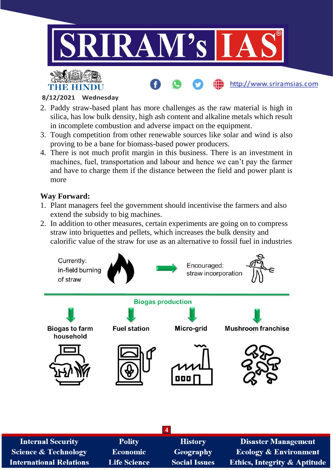





#### **8/12/2021 Wednesday**

- 2. Paddy straw-based plant has more challenges as the raw material is high in silica, has low bulk density, high ash content and alkaline metals which result in incomplete combustion and adverse impact on the equipment.
- 3. Tough competition from other renewable sources like solar and wind is also proving to be a bane for biomass-based power producers.
- 4. There is not much profit margin in this business. There is an investment in machines, fuel, transportation and labour and hence we can't pay the farmer and have to charge them if the distance between the field and power plant is more

#### **Way Forward:**

- 1. Plant managers feel the government should incentivise the farmers and also extend the subsidy to big machines.
- 2. In addition to other measures, certain experiments are going on to compress straw into briquettes and pellets, which increases the bulk density and calorific value of the straw for use as an alternative to fossil fuel in industries



| <b>Internal Security</b>        | <b>Polity</b>       | <b>History</b>       | <b>Disaster Management</b>              |
|---------------------------------|---------------------|----------------------|-----------------------------------------|
| <b>Science &amp; Technology</b> | <b>Economic</b>     | <b>Geography</b>     | <b>Ecology &amp; Environment</b>        |
| <b>International Relations</b>  | <b>Life Science</b> | <b>Social Issues</b> | <b>Ethics, Integrity &amp; Aptitude</b> |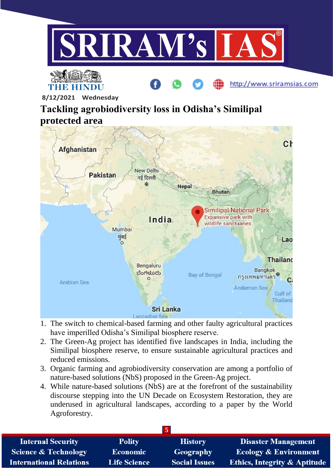





http://www.sriramsias.com

**8/12/2021 Wednesday**

# **Tackling agrobiodiversity loss in Odisha's Similipal protected area**



- 1. The switch to chemical-based farming and other faulty agricultural practices have imperilled Odisha's Similipal biosphere reserve.
- 2. The Green-Ag project has identified five landscapes in India, including the Similipal biosphere reserve, to ensure sustainable agricultural practices and reduced emissions.
- 3. Organic farming and agrobiodiversity conservation are among a portfolio of nature-based solutions (NbS) proposed in the Green-Ag project.
- 4. While nature-based solutions (NbS) are at the forefront of the sustainability discourse stepping into the UN Decade on Ecosystem Restoration, they are underused in agricultural landscapes, according to a paper by the World Agroforestry.

| <b>Internal Security</b>        | <b>Polity</b>       | <b>History</b>       | <b>Disaster Management</b>              |
|---------------------------------|---------------------|----------------------|-----------------------------------------|
| <b>Science &amp; Technology</b> | <b>Economic</b>     | <b>Geography</b>     | <b>Ecology &amp; Environment</b>        |
| <b>International Relations</b>  | <b>Life Science</b> | <b>Social Issues</b> | <b>Ethics, Integrity &amp; Aptitude</b> |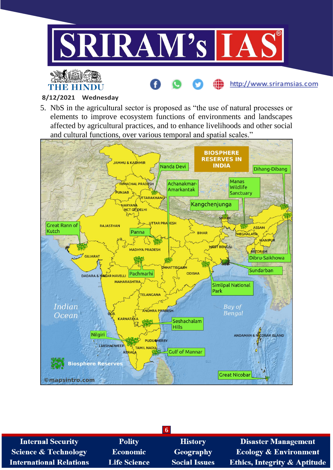

http://www.sriramsias.com

#### **8/12/2021 Wednesday**

**THE HINDU** 

5. NbS in the agricultural sector is proposed as "the use of natural processes or elements to improve ecosystem functions of environments and landscapes affected by agricultural practices, and to enhance livelihoods and other social and cultural functions, over various temporal and spatial scales."



| $\sqrt{2}$                      |                     |                      |                                         |
|---------------------------------|---------------------|----------------------|-----------------------------------------|
| <b>Internal Security</b>        | <b>Polity</b>       | <b>History</b>       | <b>Disaster Management</b>              |
| <b>Science &amp; Technology</b> | <b>Economic</b>     | Geography            | <b>Ecology &amp; Environment</b>        |
| <b>International Relations</b>  | <b>Life Science</b> | <b>Social Issues</b> | <b>Ethics, Integrity &amp; Aptitude</b> |
|                                 |                     |                      |                                         |